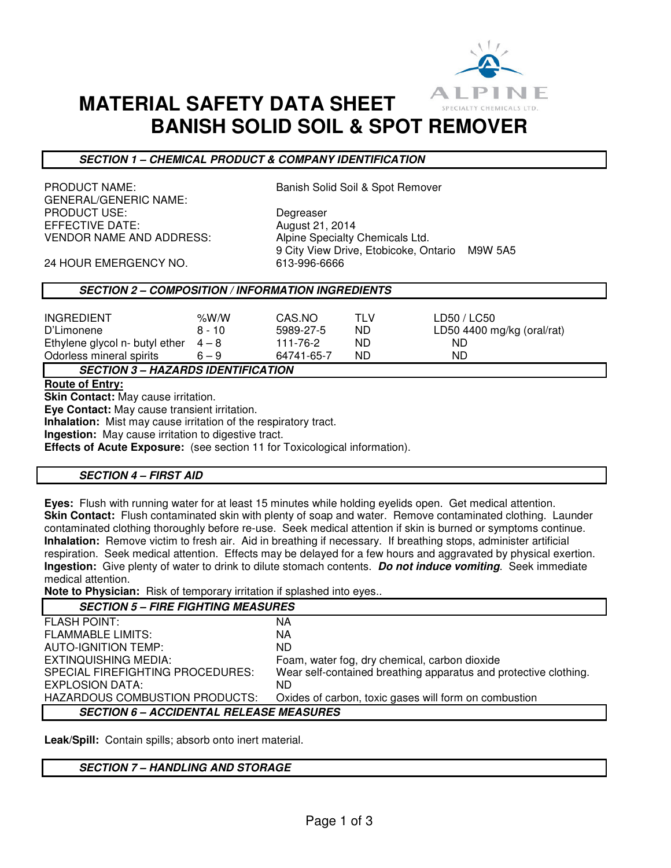

# **MATERIAL SAFETY DATA SHEET BANISH SOLID SOIL & SPOT REMOVER**

# **SECTION 1 – CHEMICAL PRODUCT & COMPANY IDENTIFICATION**

PRODUCT NAME: Sanish Solid Soil & Spot Remover GENERAL/GENERIC NAME: PRODUCT USE: Degreaser EFFECTIVE DATE:  $\frac{1}{2014}$ VENDOR NAME AND ADDRESS: Alpine Specialty Chemicals Ltd.

9 City View Drive, Etobicoke, Ontario M9W 5A5

24 HOUR EMERGENCY NO. 613-996-6666

## **SECTION 2 – COMPOSITION / INFORMATION INGREDIENTS**

| <b>INGREDIENT</b><br>D'Limonene<br>Ethylene glycol n- butyl ether $4-8$<br>Odorless mineral spirits | % $W/N$<br>$8 - 10$<br>$6 - 9$ | CAS.NO<br>5989-27-5<br>111-76-2<br>64741-65-7 | TLV<br>ND<br>ND<br>ND | LD50 / LC50<br>LD50 4400 mg/kg (oral/rat)<br>ND.<br>ND |
|-----------------------------------------------------------------------------------------------------|--------------------------------|-----------------------------------------------|-----------------------|--------------------------------------------------------|
| <b>SECTION 3 - HAZARDS IDENTIFICATION</b>                                                           |                                |                                               |                       |                                                        |

**Route of Entry:** 

**Skin Contact:** May cause irritation.

**Eye Contact:** May cause transient irritation.

**Inhalation:** Mist may cause irritation of the respiratory tract.

**Ingestion:** May cause irritation to digestive tract.

**Effects of Acute Exposure:** (see section 11 for Toxicological information).

### **SECTION 4 – FIRST AID**

**Eyes:** Flush with running water for at least 15 minutes while holding eyelids open. Get medical attention. **Skin Contact:** Flush contaminated skin with plenty of soap and water. Remove contaminated clothing. Launder contaminated clothing thoroughly before re-use. Seek medical attention if skin is burned or symptoms continue. **Inhalation:** Remove victim to fresh air. Aid in breathing if necessary. If breathing stops, administer artificial respiration. Seek medical attention. Effects may be delayed for a few hours and aggravated by physical exertion. **Ingestion:** Give plenty of water to drink to dilute stomach contents. **Do not induce vomiting**. Seek immediate medical attention.

**Note to Physician:** Risk of temporary irritation if splashed into eyes..

| <b>SECTION 5 - FIRE FIGHTING MEASURES</b>                        |  |  |
|------------------------------------------------------------------|--|--|
| ΝA                                                               |  |  |
| NА                                                               |  |  |
| ND.                                                              |  |  |
| Foam, water fog, dry chemical, carbon dioxide                    |  |  |
| Wear self-contained breathing apparatus and protective clothing. |  |  |
| ND.                                                              |  |  |
| Oxides of carbon, toxic gases will form on combustion            |  |  |
| <b>SECTION 6 - ACCIDENTAL RELEASE MEASURES</b>                   |  |  |
|                                                                  |  |  |

**Leak/Spill:** Contain spills; absorb onto inert material.

### **SECTION 7 – HANDLING AND STORAGE**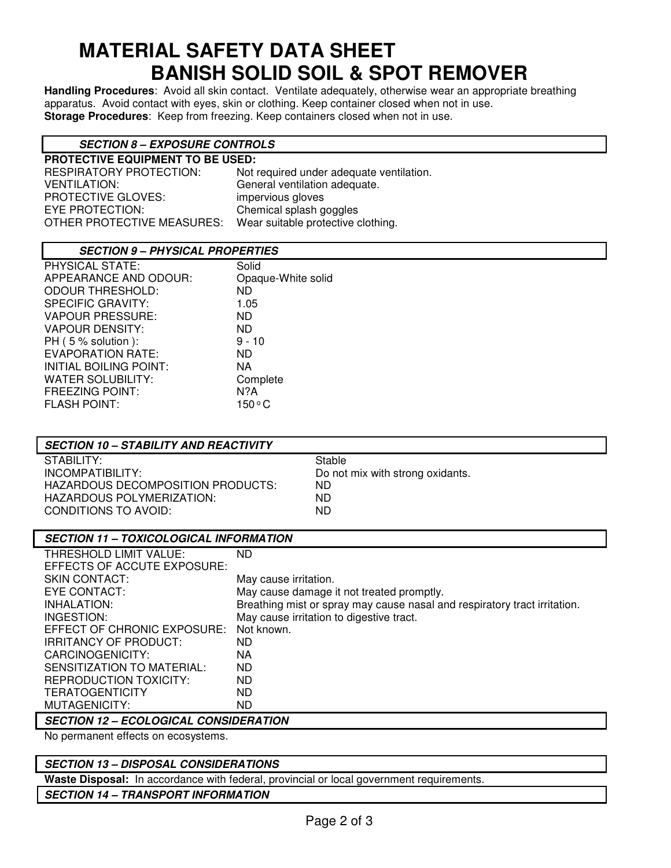# **MATERIAL SAFETY DATA SHEET BANISH SOLID SOIL & SPOT REMOVER**

**Handling Procedures**: Avoid all skin contact. Ventilate adequately, otherwise wear an appropriate breathing apparatus. Avoid contact with eyes, skin or clothing. Keep container closed when not in use. **Storage Procedures**: Keep from freezing. Keep containers closed when not in use.

# **SECTION 8 – EXPOSURE CONTROLS**

| <b>PROTECTIVE EQUIPMENT TO BE USED:</b> |                                          |  |  |  |
|-----------------------------------------|------------------------------------------|--|--|--|
| RESPIRATORY PROTECTION:                 | Not required under adequate ventilation. |  |  |  |
| VENTILATION:                            | General ventilation adequate.            |  |  |  |
| PROTECTIVE GLOVES:                      | impervious gloves                        |  |  |  |
| EYE PROTECTION:                         | Chemical splash goggles                  |  |  |  |
| OTHER PROTECTIVE MEASURES:              | Wear suitable protective clothing.       |  |  |  |
|                                         |                                          |  |  |  |

# **SECTION 9 – PHYSICAL PROPERTIES**

| <b>PHYSICAL STATE:</b>   | Solid              |
|--------------------------|--------------------|
| APPEARANCE AND ODOUR:    | Opaque-White solid |
| <b>ODOUR THRESHOLD:</b>  | <b>ND</b>          |
| <b>SPECIFIC GRAVITY:</b> | 1.05               |
| <b>VAPOUR PRESSURE:</b>  | ND.                |
| <b>VAPOUR DENSITY:</b>   | ND.                |
| PH (5 % solution):       | $9 - 10$           |
| <b>EVAPORATION RATE:</b> | ND.                |
| INITIAL BOILING POINT:   | NA                 |
| WATER SOLUBILITY:        | Complete           |
| <b>FREEZING POINT:</b>   | N?A                |
| <b>FLASH POINT:</b>      | 150°C              |

| <b>SECTION 10 - STABILITY AND REACTIVITY</b> |                                  |
|----------------------------------------------|----------------------------------|
| STABILITY:                                   | Stable                           |
| INCOMPATIBILITY:                             | Do not mix with strong oxidants. |
| HAZARDOUS DECOMPOSITION PRODUCTS:            | ND.                              |
| HAZARDOUS POLYMERIZATION:                    | ND                               |
| CONDITIONS TO AVOID:                         | ND                               |
|                                              |                                  |

| <b>SECTION 11 - TOXICOLOGICAL INFORMATION</b> |                                                                           |  |  |
|-----------------------------------------------|---------------------------------------------------------------------------|--|--|
| THRESHOLD LIMIT VALUE:                        | ND.                                                                       |  |  |
| EFFECTS OF ACCUTE EXPOSURE:                   |                                                                           |  |  |
| <b>SKIN CONTACT:</b>                          | May cause irritation.                                                     |  |  |
| EYE CONTACT:                                  | May cause damage it not treated promptly.                                 |  |  |
| INHALATION:                                   | Breathing mist or spray may cause nasal and respiratory tract irritation. |  |  |
| INGESTION:                                    | May cause irritation to digestive tract.                                  |  |  |
| EFFECT OF CHRONIC EXPOSURE:                   | Not known.                                                                |  |  |
| IRRITANCY OF PRODUCT:                         | ND.                                                                       |  |  |
| CARCINOGENICITY:                              | ΝA                                                                        |  |  |
| SENSITIZATION TO MATERIAL:                    | ND.                                                                       |  |  |
| REPRODUCTION TOXICITY:                        | ND.                                                                       |  |  |
| <b>TERATOGENTICITY</b>                        | ND.                                                                       |  |  |
| MUTAGENICITY:                                 | ND.                                                                       |  |  |
| AFATIAN JA – FAALAAIA IL AANAIRERITIAN        |                                                                           |  |  |

**SECTION 12 – ECOLOGICAL CONSIDERATION** 

No permanent effects on ecosystems.

# **SECTION 13 – DISPOSAL CONSIDERATIONS**

**Waste Disposal:** In accordance with federal, provincial or local government requirements.

## **SECTION 14 – TRANSPORT INFORMATION**